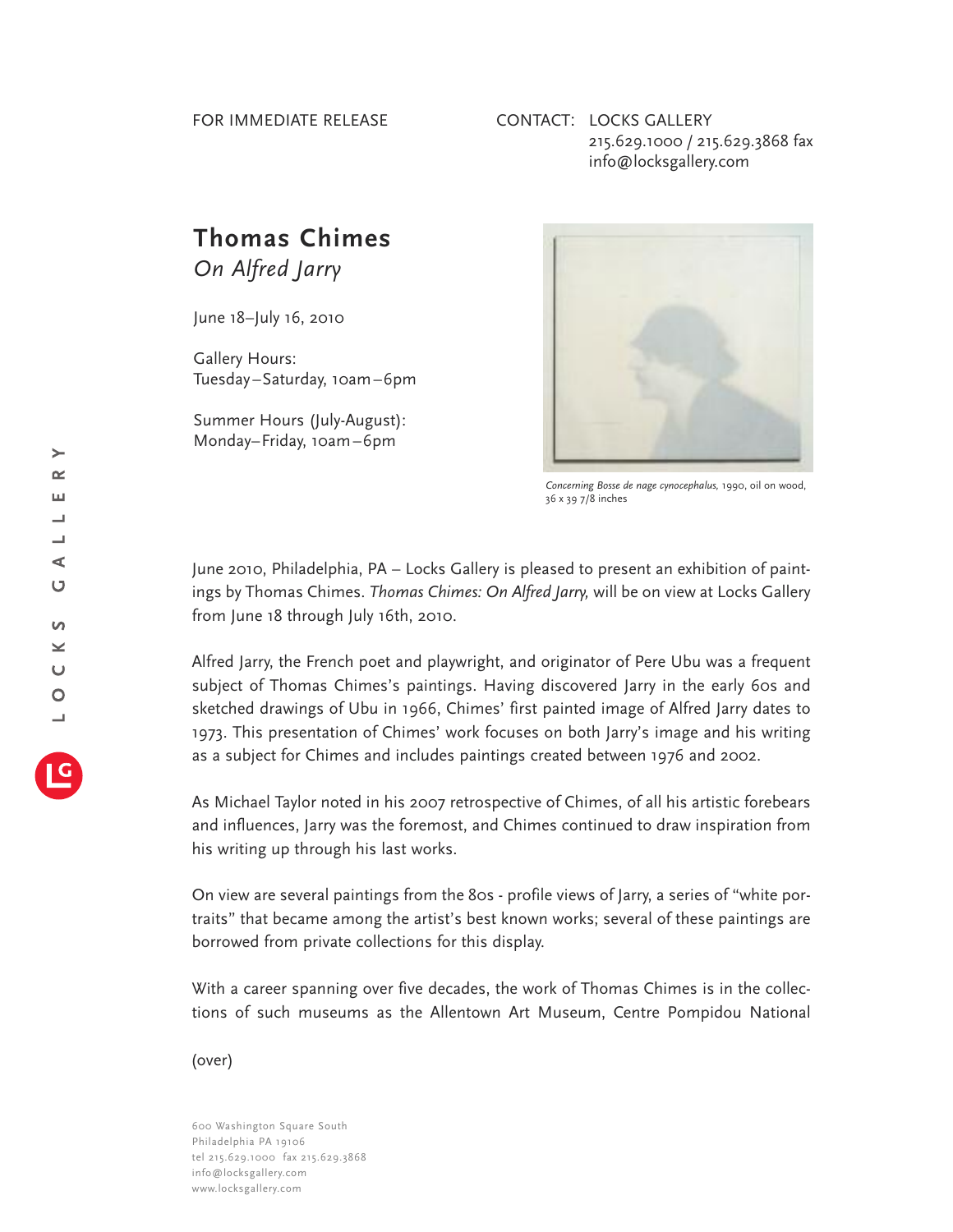## CONTACT: LOCKS GALLERY 215.629.1000 / 215.629.3868 fax info@locksgallery.com

## **Thomas Chimes** *On Alfred Jarry*

June 18–July 16, 2010

Gallery Hours: Tuesday–Saturday, 10am–6pm

Summer Hours (July-August): Monday–Friday, 10am–6pm



*Concerning Bosse de nage cynocephalus,* 1990, oil on wood, 36 x 39 7/8 inches

June 2010, Philadelphia, PA – Locks Gallery is pleased to present an exhibition of paintings by Thomas Chimes. *Thomas Chimes: On Alfred Jarry,* will be on view at Locks Gallery from June 18 through July 16th, 2010.

Alfred Jarry, the French poet and playwright, and originator of Pere Ubu was a frequent subject of Thomas Chimes's paintings. Having discovered Jarry in the early 60s and sketched drawings of Ubu in 1966, Chimes' first painted image of Alfred Jarry dates to 1973. This presentation of Chimes' work focuses on both Jarry's image and his writing as a subject for Chimes and includes paintings created between 1976 and 2002.

As Michael Taylor noted in his 2007 retrospective of Chimes, of all his artistic forebears and influences, Jarry was the foremost, and Chimes continued to draw inspiration from his writing up through his last works.

On view are several paintings from the 80s - profile views of Jarry, a series of "white portraits" that became among the artist's best known works; several of these paintings are borrowed from private collections for this display.

With a career spanning over five decades, the work of Thomas Chimes is in the collections of such museums as the Allentown Art Museum, Centre Pompidou National

(over)

600 Washington Square South Philadelphia PA 19106 tel 215.629.1000 fax 215.629.3868 info@locksgallery.com www.locksgallery.com

 $\rightarrow$